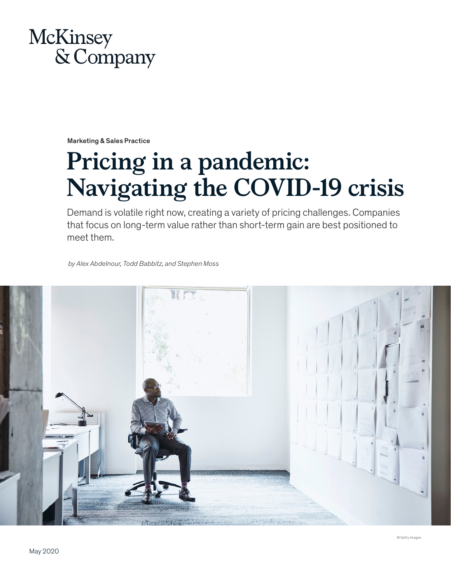

Marketing & Sales Practice

# **Pricing in a pandemic: Navigating the COVID-19 crisis**

Demand is volatile right now, creating a variety of pricing challenges. Companies that focus on long-term value rather than short-term gain are best positioned to meet them.

*by Alex Abdelnour, Todd Babbitz, and Stephen Moss*

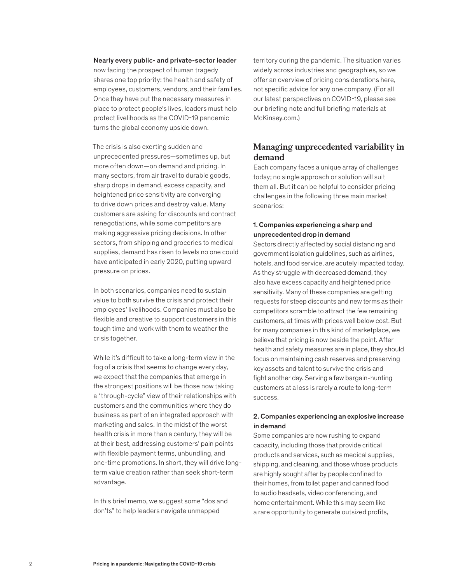## Nearly every public- and private-sector leader

now facing the prospect of human tragedy shares one top priority: the health and safety of employees, customers, vendors, and their families. Once they have put the necessary measures in place to protect people's lives, leaders must help protect livelihoods as the COVID-19 pandemic turns the global economy upside down.

The crisis is also exerting sudden and unprecedented pressures—sometimes up, but more often down—on demand and pricing. In many sectors, from air travel to durable goods, sharp drops in demand, excess capacity, and heightened price sensitivity are converging to drive down prices and destroy value. Many customers are asking for discounts and contract renegotiations, while some competitors are making aggressive pricing decisions. In other sectors, from shipping and groceries to medical supplies, demand has risen to levels no one could have anticipated in early 2020, putting upward pressure on prices.

In both scenarios, companies need to sustain value to both survive the crisis and protect their employees' livelihoods. Companies must also be flexible and creative to support customers in this tough time and work with them to weather the crisis together.

While it's difficult to take a long-term view in the fog of a crisis that seems to change every day, we expect that the companies that emerge in the strongest positions will be those now taking a "through-cycle" view of their relationships with customers and the communities where they do business as part of an integrated approach with marketing and sales. In the midst of the worst health crisis in more than a century, they will be at their best, addressing customers' pain points with flexible payment terms, unbundling, and one-time promotions. In short, they will drive longterm value creation rather than seek short-term advantage.

In this brief memo, we suggest some "dos and don'ts" to help leaders navigate unmapped

territory during the pandemic. The situation varies widely across industries and geographies, so we offer an overview of pricing considerations here, not specific advice for any one company. (For all our latest perspectives on COVID-19, please see our briefing note and full briefing materials at McKinsey.com.)

## **Managing unprecedented variability in demand**

Each company faces a unique array of challenges today; no single approach or solution will suit them all. But it can be helpful to consider pricing challenges in the following three main market scenarios:

## 1. Companies experiencing a sharp and unprecedented drop in demand

Sectors directly affected by social distancing and government isolation guidelines, such as airlines, hotels, and food service, are acutely impacted today. As they struggle with decreased demand, they also have excess capacity and heightened price sensitivity. Many of these companies are getting requests for steep discounts and new terms as their competitors scramble to attract the few remaining customers, at times with prices well below cost. But for many companies in this kind of marketplace, we believe that pricing is now beside the point. After health and safety measures are in place, they should focus on maintaining cash reserves and preserving key assets and talent to survive the crisis and fight another day. Serving a few bargain-hunting customers at a loss is rarely a route to long-term success.

## 2. Companies experiencing an explosive increase in demand

Some companies are now rushing to expand capacity, including those that provide critical products and services, such as medical supplies, shipping, and cleaning, and those whose products are highly sought after by people confined to their homes, from toilet paper and canned food to audio headsets, video conferencing, and home entertainment. While this may seem like a rare opportunity to generate outsized profits,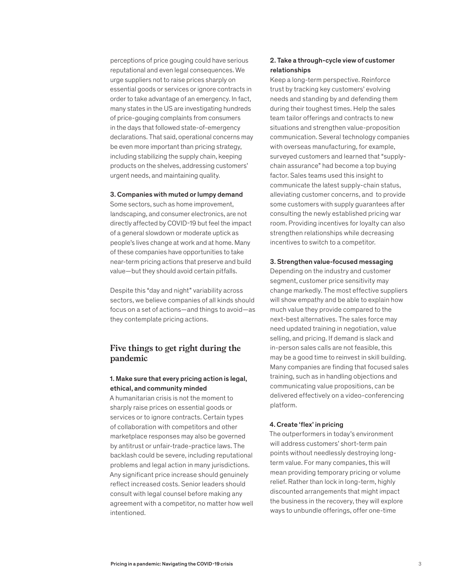perceptions of price gouging could have serious reputational and even legal consequences. We urge suppliers not to raise prices sharply on essential goods or services or ignore contracts in order to take advantage of an emergency. In fact, many states in the US are investigating hundreds of price-gouging complaints from consumers in the days that followed state-of-emergency declarations. That said, operational concerns may be even more important than pricing strategy, including stabilizing the supply chain, keeping products on the shelves, addressing customers' urgent needs, and maintaining quality.

### 3. Companies with muted or lumpy demand

Some sectors, such as home improvement, landscaping, and consumer electronics, are not directly affected by COVID-19 but feel the impact of a general slowdown or moderate uptick as people's lives change at work and at home. Many of these companies have opportunities to take near-term pricing actions that preserve and build value—but they should avoid certain pitfalls.

Despite this "day and night" variability across sectors, we believe companies of all kinds should focus on a set of actions—and things to avoid—as they contemplate pricing actions.

# **Five things to get right during the pandemic**

## 1. Make sure that every pricing action is legal, ethical, and community minded

A humanitarian crisis is not the moment to sharply raise prices on essential goods or services or to ignore contracts. Certain types of collaboration with competitors and other marketplace responses may also be governed by antitrust or unfair-trade-practice laws. The backlash could be severe, including reputational problems and legal action in many jurisdictions. Any significant price increase should genuinely reflect increased costs. Senior leaders should consult with legal counsel before making any agreement with a competitor, no matter how well intentioned.

## 2. Take a through-cycle view of customer relationships

Keep a long-term perspective. Reinforce trust by tracking key customers' evolving needs and standing by and defending them during their toughest times. Help the sales team tailor offerings and contracts to new situations and strengthen value-proposition communication. Several technology companies with overseas manufacturing, for example, surveyed customers and learned that "supplychain assurance" had become a top buying factor. Sales teams used this insight to communicate the latest supply-chain status, alleviating customer concerns, and to provide some customers with supply guarantees after consulting the newly established pricing war room. Providing incentives for loyalty can also strengthen relationships while decreasing incentives to switch to a competitor.

#### 3. Strengthen value-focused messaging

Depending on the industry and customer segment, customer price sensitivity may change markedly. The most effective suppliers will show empathy and be able to explain how much value they provide compared to the next-best alternatives. The sales force may need updated training in negotiation, value selling, and pricing. If demand is slack and in-person sales calls are not feasible, this may be a good time to reinvest in skill building. Many companies are finding that focused sales training, such as in handling objections and communicating value propositions, can be delivered effectively on a video-conferencing platform.

#### 4. Create 'flex' in pricing

The outperformers in today's environment will address customers' short-term pain points without needlessly destroying longterm value. For many companies, this will mean providing temporary pricing or volume relief. Rather than lock in long-term, highly discounted arrangements that might impact the business in the recovery, they will explore ways to unbundle offerings, offer one-time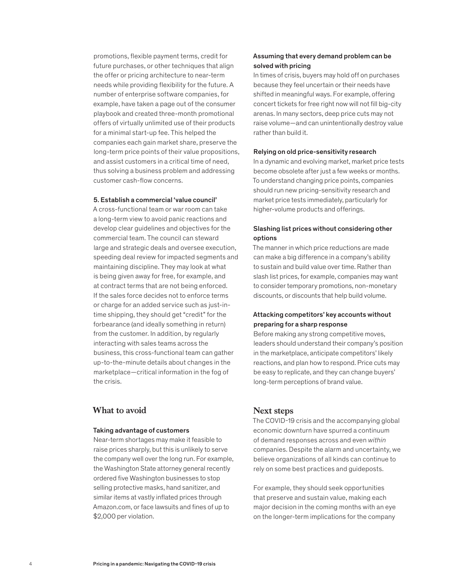promotions, flexible payment terms, credit for future purchases, or other techniques that align the offer or pricing architecture to near-term needs while providing flexibility for the future. A number of enterprise software companies, for example, have taken a page out of the consumer playbook and created three-month promotional offers of virtually unlimited use of their products for a minimal start-up fee. This helped the companies each gain market share, preserve the long-term price points of their value propositions, and assist customers in a critical time of need, thus solving a business problem and addressing customer cash-flow concerns.

#### 5. Establish a commercial 'value council'

A cross-functional team or war room can take a long-term view to avoid panic reactions and develop clear guidelines and objectives for the commercial team. The council can steward large and strategic deals and oversee execution, speeding deal review for impacted segments and maintaining discipline. They may look at what is being given away for free, for example, and at contract terms that are not being enforced. If the sales force decides not to enforce terms or charge for an added service such as just-intime shipping, they should get "credit" for the forbearance (and ideally something in return) from the customer. In addition, by regularly interacting with sales teams across the business, this cross-functional team can gather up-to-the-minute details about changes in the marketplace—critical information in the fog of the crisis.

## **What to avoid**

#### Taking advantage of customers

Near-term shortages may make it feasible to raise prices sharply, but this is unlikely to serve the company well over the long run. For example, the Washington State attorney general recently ordered five Washington businesses to stop selling protective masks, hand sanitizer, and similar items at vastly inflated prices through Amazon.com, or face lawsuits and fines of up to \$2,000 per violation.

## Assuming that every demand problem can be solved with pricing

In times of crisis, buyers may hold off on purchases because they feel uncertain or their needs have shifted in meaningful ways. For example, offering concert tickets for free right now will not fill big-city arenas. In many sectors, deep price cuts may not raise volume—and can unintentionally destroy value rather than build it.

#### Relying on old price-sensitivity research

In a dynamic and evolving market, market price tests become obsolete after just a few weeks or months. To understand changing price points, companies should run new pricing-sensitivity research and market price tests immediately, particularly for higher-volume products and offerings.

## Slashing list prices without considering other options

The manner in which price reductions are made can make a big difference in a company's ability to sustain and build value over time. Rather than slash list prices, for example, companies may want to consider temporary promotions, non-monetary discounts, or discounts that help build volume.

## Attacking competitors' key accounts without preparing for a sharp response

Before making any strong competitive moves, leaders should understand their company's position in the marketplace, anticipate competitors' likely reactions, and plan how to respond. Price cuts may be easy to replicate, and they can change buyers' long-term perceptions of brand value.

## **Next steps**

The COVID-19 crisis and the accompanying global economic downturn have spurred a continuum of demand responses across and even *within* companies. Despite the alarm and uncertainty, we believe organizations of all kinds can continue to rely on some best practices and guideposts.

For example, they should seek opportunities that preserve and sustain value, making each major decision in the coming months with an eye on the longer-term implications for the company